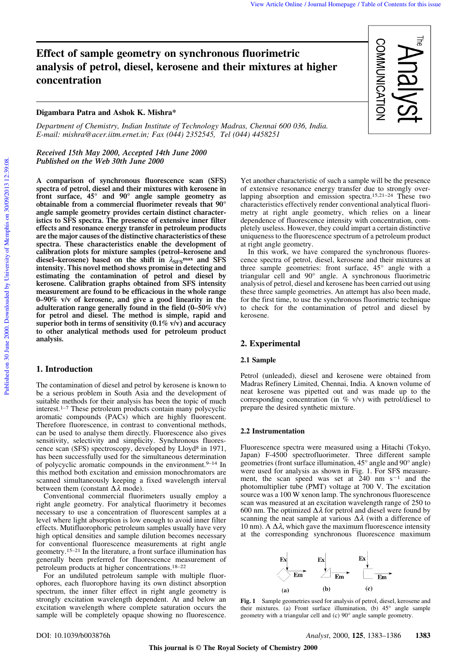# **Effect of sample geometry on synchronous fluorimetric analysis of petrol, diesel, kerosene and their mixtures at higher concentration**

### **Digambara Patra and Ashok K. Mishra\***

*Department of Chemistry, Indian Institute of Technology Madras, Chennai 600 036, India. E-mail: mishra@acer.iitm.ernet.in; Fax (044) 2352545, Tel (044) 4458251*

# *Received 15th May 2000, Accepted 14th June 2000 Published on the Web 30th June 2000*

**A comparison of synchronous fluorescence scan (SFS) spectra of petrol, diesel and their mixtures with kerosene in front surface, 45° and 90° angle sample geometry as obtainable from a commercial fluorimeter reveals that 90° angle sample geometry provides certain distinct characteristics to SFS spectra. The presence of extensive inner filter effects and resonance energy transfer in petroleum products are the major causes of the distinctive characteristics of these spectra. These characteristics enable the development of calibration plots for mixture samples (petrol–kerosene and diesel–kerosene) based on the shift in** l**SFSmax and SFS intensity. This novel method shows promise in detecting and estimating the contamination of petrol and diesel by kerosene. Calibration graphs obtained from SFS intensity measurement are found to be efficacious in the whole range 0–90% v/v of kerosene, and give a good linearity in the adulteration range generally found in the field (0–50% v/v) for petrol and diesel. The method is simple, rapid and superior both in terms of sensitivity (0.1% v/v) and accuracy to other analytical methods used for petroleum product analysis.**

#### **1. Introduction**

The contamination of diesel and petrol by kerosene is known to be a serious problem in South Asia and the development of suitable methods for their analysis has been the topic of much interest.1–7 These petroleum products contain many polycyclic aromatic compounds (PACs) which are highly fluorescent. Therefore fluorescence, in contrast to conventional methods, can be used to analyse them directly. Fluorescence also gives sensitivity, selectivity and simplicity. Synchronous fluorescence scan (SFS) spectroscopy, developed by Lloyd<sup>8</sup> in 1971, has been successfully used for the simultaneous determination of polycyclic aromatic compounds in the environment.<sup>9-14</sup> In this method both excitation and emission monochromators are scanned simultaneously keeping a fixed wavelength interval between them (constant  $\Delta \lambda$  mode).

Conventional commercial fluorimeters usually employ a right angle geometry. For analytical fluorimetry it becomes necessary to use a concentration of fluorescent samples at a level where light absorption is low enough to avoid inner filter effects. Mutifluorophoric petroleum samples usually have very high optical densities and sample dilution becomes necessary for conventional fluorescence measurements at right angle geometry.15–21 In the literature, a front surface illumination has generally been preferred for fluorescence measurement of petroleum products at higher concentrations.18–22

For an undiluted petroleum sample with multiple fluorophores, each fluorophore having its own distinct absorption spectrum, the inner filter effect in right angle geometry is strongly excitation wavelength dependent. At and below an excitation wavelength where complete saturation occurs the sample will be completely opaque showing no fluorescence.



Yet another characteristic of such a sample will be the presence of extensive resonance energy transfer due to strongly overlapping absorption and emission spectra.15,21–24 These two characteristics effectively render conventional analytical fluorimetry at right angle geometry, which relies on a linear dependence of fluorescence intensity with concentration, completely useless. However, they could impart a certain distinctive uniqueness to the fluorescence spectrum of a petroleum product at right angle geometry.

In this work, we have compared the synchronous fluorescence spectra of petrol, diesel, kerosene and their mixtures at three sample geometries: front surface, 45° angle with a triangular cell and 90° angle. A synchronous fluorimetric analysis of petrol, diesel and kerosene has been carried out using these three sample geometries. An attempt has also been made, for the first time, to use the synchronous fluorimetric technique to check for the contamination of petrol and diesel by kerosene.

#### **2. Experimental**

#### **2.1 Sample**

Petrol (unleaded), diesel and kerosene were obtained from Madras Refinery Limited, Chennai, India. A known volume of neat kerosene was pipetted out and was made up to the corresponding concentration (in  $\%$  v/v) with petrol/diesel to prepare the desired synthetic mixture.

#### **2.2 Instrumentation**

Fluorescence spectra were measured using a Hitachi (Tokyo, Japan) F-4500 spectrofluorimeter. Three different sample geometries (front surface illumination, 45° angle and 90° angle) were used for analysis as shown in Fig. 1. For SFS measure-<br>ment, the scan speed was set at 240 nm  $s^{-1}$  and the photomultiplier tube (PMT) voltage at 700 V. The excitation source was a 100 W xenon lamp. The synchronous fluorescence scan was measured at an excitation wavelength range of 250 to 600 nm. The optimized  $\Delta \lambda$  for petrol and diesel were found by scanning the neat sample at various  $\Delta\lambda$  (with a difference of 10 nm). A  $\Delta \lambda$ , which gave the maximum fluorescence intensity at the corresponding synchronous fluorescence maximum



**Fig. 1** Sample geometries used for analysis of petrol, diesel, kerosene and their mixtures. (a) Front surface illumination, (b) 45° angle sample geometry with a triangular cell and (c) 90° angle sample geometry.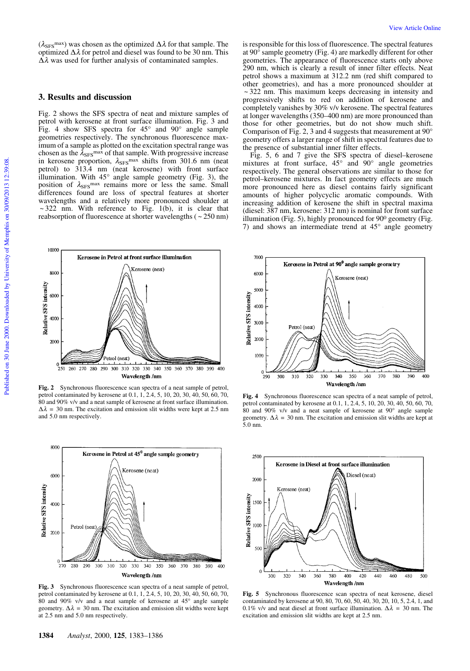$(\lambda_{\text{SFS}}^{\text{max}})$  was chosen as the optimized  $\Delta\lambda$  for that sample. The optimized  $\Delta\lambda$  for petrol and diesel was found to be 30 nm. This  $\Delta \lambda$  was used for further analysis of contaminated samples.

#### **3. Results and discussion**

Fig. 2 shows the SFS spectra of neat and mixture samples of petrol with kerosene at front surface illumination. Fig. 3 and Fig. 4 show SFS spectra for  $45^{\circ}$  and  $90^{\circ}$  angle sample geometries respectively. The synchronous fluorescence maximum of a sample as plotted on the excitation spectral range was chosen as the  $\lambda_{\rm SFS}$ <sup>max</sup> of that sample. With progressive increase in kerosene proportion,  $\lambda_{\rm SFS}$ <sup>max</sup> shifts from 301.6 nm (neat petrol) to 313.4 nm (neat kerosene) with front surface illumination. With 45° angle sample geometry (Fig. 3), the position of  $\lambda_{\rm SFS}$ <sup>max</sup> remains more or less the same. Small differences found are loss of spectral features at shorter wavelengths and a relatively more pronounced shoulder at  $\sim$  322 nm. With reference to Fig. 1(b), it is clear that reabsorption of fluorescence at shorter wavelengths ( ~ 250 nm)



**Fig. 2** Synchronous fluorescence scan spectra of a neat sample of petrol, petrol contaminated by kerosene at 0.1, 1, 2.4, 5, 10, 20, 30, 40, 50, 60, 70, 80 and 90% v/v and a neat sample of kerosene at front surface illumination.  $\Delta \lambda$  = 30 nm. The excitation and emission slit widths were kept at 2.5 nm and 5.0 nm respectively.



**Fig. 3** Synchronous fluorescence scan spectra of a neat sample of petrol, petrol contaminated by kerosene at 0.1, 1, 2.4, 5, 10, 20, 30, 40, 50, 60, 70, 80 and 90% v/v and a neat sample of kerosene at  $45^{\circ}$  angle sample geometry.  $\Delta \lambda = 30$  nm. The excitation and emission slit widths were kept at 2.5 nm and 5.0 nm respectively.

is responsible for this loss of fluorescence. The spectral features at 90° sample geometry (Fig. 4) are markedly different for other geometries. The appearance of fluorescence starts only above 290 nm, which is clearly a result of inner filter effects. Neat petrol shows a maximum at 312.2 nm (red shift compared to other geometries), and has a more pronounced shoulder at  $\sim$  322 nm. This maximum keeps decreasing in intensity and progressively shifts to red on addition of kerosene and completely vanishes by 30% v/v kerosene. The spectral features at longer wavelengths (350–400 nm) are more pronounced than those for other geometries, but do not show much shift. Comparison of Fig. 2, 3 and 4 suggests that measurement at 90° geometry offers a larger range of shift in spectral features due to the presence of substantial inner filter effects.

Fig. 5, 6 and 7 give the SFS spectra of diesel–kerosene mixtures at front surface, 45° and 90° angle geometries respectively. The general observations are similar to those for petrol–kerosene mixtures. In fact geometry effects are much more pronounced here as diesel contains fairly significant amounts of higher polycyclic aromatic compounds. With increasing addition of kerosene the shift in spectral maxima (diesel: 387 nm, kerosene: 312 nm) is nominal for front surface illumination (Fig. 5), highly pronounced for 900 geometry (Fig. 7) and shows an intermediate trend at 45° angle geometry



**Fig. 4** Synchronous fluorescence scan spectra of a neat sample of petrol, petrol contaminated by kerosene at 0.1, 1, 2.4, 5, 10, 20, 30, 40, 50, 60, 70, 80 and 90% v/v and a neat sample of kerosene at 90° angle sample geometry.  $\Delta \lambda = 30$  nm. The excitation and emission slit widths are kept at 5.0 nm.



**Fig. 5** Synchronous fluorescence scan spectra of neat kerosene, diesel contaminated by kerosene at 90, 80, 70, 60, 50, 40, 30, 20, 10, 5, 2.4, 1, and 0.1% v/v and neat diesel at front surface illumination.  $\Delta \lambda = 30$  nm. The excitation and emission slit widths are kept at 2.5 nm.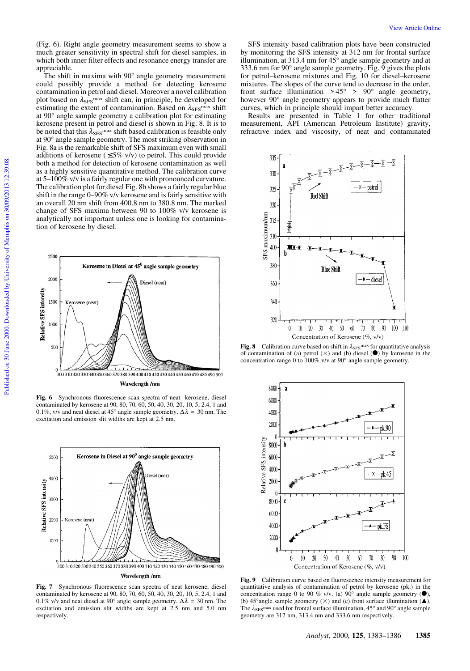(Fig. 6). Right angle geometry measurement seems to show a much greater sensitivity in spectral shift for diesel samples, in which both inner filter effects and resonance energy transfer are appreciable.

The shift in maxima with 90° angle geometry measurement could possibly provide a method for detecting kerosene contamination in petrol and diesel. Moreover a novel calibration plot based on  $\lambda_{\text{SFS}}$ <sup>max</sup> shift can, in principle, be developed for estimating the extent of contamination. Based on  $\lambda_{\rm SFS}$ <sup>max</sup> shift at 90° angle sample geometry a calibration plot for estimating kerosene present in petrol and diesel is shown in Fig. 8. It is to be noted that this  $\lambda_{\rm SFS}$ <sup>max</sup> shift based calibration is feasible only at 90° angle sample geometry. The most striking observation in Fig. 8a is the remarkable shift of SFS maximum even with small additions of kerosene ( $\leq$ 5% v/v) to petrol. This could provide both a method for detection of kerosene contamination as well as a highly sensitive quantitative method. The calibration curve at  $5-100\%$  v/v is a fairly regular one with pronounced curvature. The calibration plot for diesel Fig. 8b shows a fairly regular blue shift in the range 0–90% v/v kerosene and is fairly sensitive with an overall 20 nm shift from 400.8 nm to 380.8 nm. The marked change of SFS maxima between 90 to 100% v/v kerosene is analytically not important unless one is looking for contamination of kerosene by diesel.



**Fig. 6** Synchronous fluorescence scan spectra of neat kerosene, diesel contaminated by kerosene at 90, 80, 70, 60, 50, 40, 30, 20, 10, 5, 2.4, 1 and 0.1%, v/v and neat diesel at 45° angle sample geometry.  $\Delta \lambda = 30$  nm. The excitation and emission slit widths are kept at 2.5 nm.



**Fig. 7** Synchronous fluorescence scan spectra of neat kerosene, diesel contaminated by kerosene at 90, 80, 70, 60, 50, 40, 30, 20, 10, 5, 2.4, 1 and 0.1% v/v and neat diesel at 90° angle sample geometry.  $\Delta \lambda = 30$  nm. The excitation and emission slit widths are kept at 2.5 nm and 5.0 nm respectively.

SFS intensity based calibration plots have been constructed by monitoring the SFS intensity at 312 nm for frontal surface illumination, at 313.4 nm for  $45^{\circ}$  angle sample geometry and at 333.6 nm for 90° angle sample geometry. Fig. 9 gives the plots for petrol–kerosene mixtures and Fig. 10 for diesel–kerosene mixtures. The slopes of the curve tend to decrease in the order, front surface illumination  $> 45^{\circ} > 90^{\circ}$  angle geometry, however 90° angle geometry appears to provide much flatter curves, which in principle should impart better accuracy.

Results are presented in Table 1 for other traditional measurement, API (American Petroleum Institute) gravity, refractive index and viscosity, of neat and contaminated



**Fig. 8** Calibration curve based on shift in  $\lambda_{\text{SFS}}$ <sup>max</sup> for quantitative analysis of contamination of (a) petrol  $(\times)$  and (b) diesel  $(\bullet)$  by kerosene in the concentration range 0 to 100% v/v at 90° angle sample geometry.



**Fig. 9** Calibration curve based on fluorescence intensity measurement for quantitative analysis of contamination of petrol by kerosene (pk.) in the concentration range 0 to 90 % v/v. (a) 90° angle sample geometry  $(\bullet)$ , (b) 45° angle sample geometry  $(\times)$  and (c) front surface illumination ( $\blacktriangle$ ). The  $\lambda_{\text{SFS}}$ <sup>max</sup> used for frontal surface illumination, 45° and 90° angle sample geometry are 312 nm, 313.4 nm and 333.6 nm respectively.